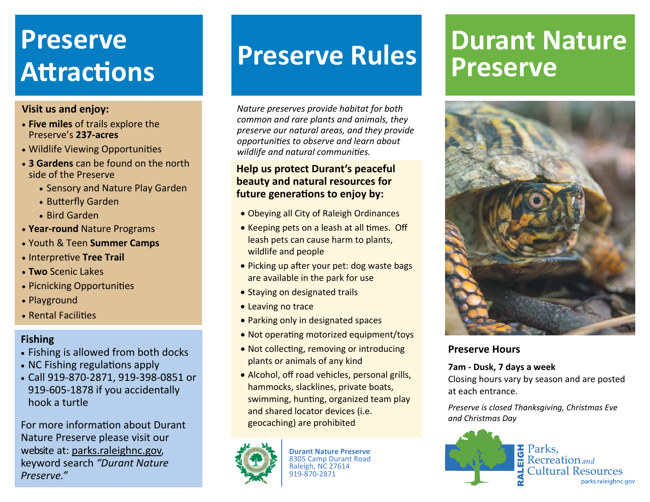# Preserve<br>Assessed **Preserve Rules AƩracƟons**

#### **Visit us and enjoy:**

- **Five miles** of trails explore the Preserve's **237‐acres**
- Wildlife Viewing Opportunities
- **3 Gardens** can be found on the north side of the Preserve
	- Sensory and Nature Play Garden
	- Butterfly Garden
	- Bird Garden
- **Year‐round** Nature Programs
- Youth & Teen **Summer Camps**
- **Interpretive Tree Trail**
- **Two** Scenic Lakes
- Picnicking Opportunities
- Playground
- Rental Facilities

#### **Fishing**

- Fishing is allowed from both docks
- NC Fishing regulations apply
- Call 919‐870‐2871, 919‐398‐0851 or 919‐605‐1878 if you accidentally hook a turtle

For more information about Durant Nature Preserve please visit our website at: parks.raleighnc.gov, keyword search *"Durant Nature Preserve."*

*Nature preserves provide habitat for both common and rare plants and animals, they preserve our natural areas, and they provide opportuni Ɵes to observe and learn about wildlife and natural communi Ɵes.*

### **Help us protect Durant's peaceful beauty and natural resources for future genera Ɵons to enjoy by:**

- Obeying all City of Raleigh Ordinances
- Keeping pets on a leash at all times. Off leash pets can cause harm to plants, wildlife and people
- Picking up after your pet: dog waste bags are available in the park for use
- Staying on designated trails
- Leaving no trace
- Parking only in designated spaces
- Not operating motorized equipment/toys
- Not collecting, removing or introducing plants or animals of any kind
- Alcohol, off road vehicles, personal grills, hammocks, slacklines, private boats, swimming, hunting, organized team play and shared locator devices (i.e. geocaching) are prohibited



**Durant Nature Preserve** 8305 Camp Durant Road Raleigh, NC 27614 919‐870‐2871

## **Durant NaturePreserve**



#### **Preserve Hours**

#### **7am ‐ Dusk, 7 days a week**

Closing hours vary by season and are posted at each entrance.

*Preserve is closed Thanksgiving, Christmas Eve and Christmas Day*